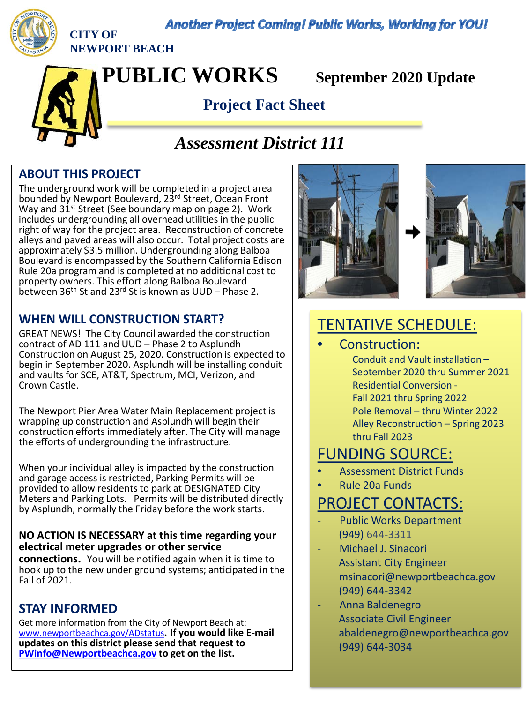**Another Project Coming! Public Works, Working for YOU!** 



**CITY OF NEWPORT BEACH**

**PUBLIC WORKS September 2020 Update**

# **Project Fact Sheet**

# *Assessment District 111*

## **ABOUT THIS PROJECT**

The underground work will be completed in a project area bounded by Newport Boulevard, 23rd Street, Ocean Front Way and 31<sup>st</sup> Street (See boundary map on page 2). Work includes undergrounding all overhead utilities in the public right of way for the project area. Reconstruction of concrete alleys and paved areas will also occur. Total project costs are approximately \$3.5 million. Undergrounding along Balboa Boulevard is encompassed by the Southern California Edison Rule 20a program and is completed at no additional cost to property owners. This effort along Balboa Boulevard between 36<sup>th</sup> St and 23<sup>rd</sup> St is known as UUD – Phase 2.

### **WHEN WILL CONSTRUCTION START?**

GREAT NEWS! The City Council awarded the construction contract of AD 111 and UUD – Phase 2 to Asplundh Construction on August 25, 2020. Construction is expected to begin in September 2020. Asplundh will be installing conduit and vaults for SCE, AT&T, Spectrum, MCI, Verizon, and Crown Castle.

The Newport Pier Area Water Main Replacement project is wrapping up construction and Asplundh will begin their construction efforts immediately after. The City will manage the efforts of undergrounding the infrastructure.

When your individual alley is impacted by the construction and garage access is restricted, Parking Permits will be provided to allow residents to park at DESIGNATED City Meters and Parking Lots. Permits will be distributed directly by Asplundh, normally the Friday before the work starts.

#### **NO ACTION IS NECESSARY at this time regarding your electrical meter upgrades or other service**

**connections.** You will be notified again when it is time to hook up to the new under ground systems; anticipated in the Fall of 2021.

### **STAY INFORMED**

Get more information from the City of Newport Beach at: [www.newportbeachca.gov/ADstatus](http://www.newportbeachca.gov/ADstatus)**. If you would like E-mail updates on this district please send that request to [PWinfo@Newportbeachca.gov](mailto:PWinfo@Newportbeachca.gov) to get on the list.** 





# TENTATIVE SCHEDULE:

Construction:

Conduit and Vault installation – September 2020 thru Summer 2021 Residential Conversion - Fall 2021 thru Spring 2022 Pole Removal – thru Winter 2022 Alley Reconstruction – Spring 2023 thru Fall 2023

# FUNDING SOURCE:

- Assessment District Funds
- Rule 20a Funds

# PROJECT CONTACTS:

- Public Works Department (949) 644-3311
- Michael J. Sinacori Assistant City Engineer msinacori@newportbeachca.gov (949) 644-3342
- Anna Baldenegro Associate Civil Engineer abaldenegro@newportbeachca.gov (949) 644-3034